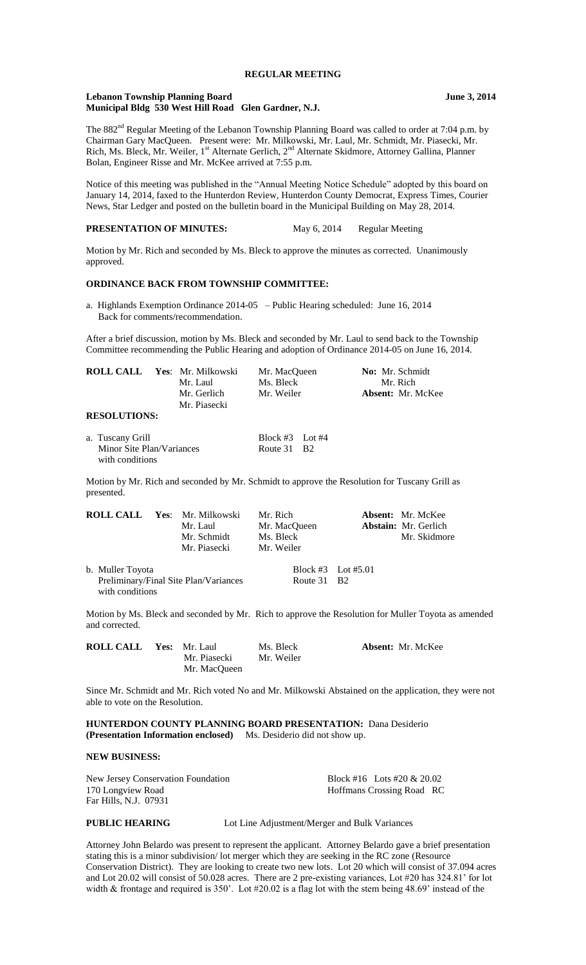# **REGULAR MEETING**

## **Lebanon Township Planning Board June 3, 2014 Municipal Bldg 530 West Hill Road Glen Gardner, N.J.**

The 882<sup>nd</sup> Regular Meeting of the Lebanon Township Planning Board was called to order at 7:04 p.m. by Chairman Gary MacQueen. Present were: Mr. Milkowski, Mr. Laul, Mr. Schmidt, Mr. Piasecki, Mr. Rich, Ms. Bleck, Mr. Weiler, 1<sup>st</sup> Alternate Gerlich, 2<sup>nd</sup> Alternate Skidmore, Attorney Gallina, Planner Bolan, Engineer Risse and Mr. McKee arrived at 7:55 p.m.

Notice of this meeting was published in the "Annual Meeting Notice Schedule" adopted by this board on January 14, 2014, faxed to the Hunterdon Review, Hunterdon County Democrat, Express Times, Courier News, Star Ledger and posted on the bulletin board in the Municipal Building on May 28, 2014.

**PRESENTATION OF MINUTES:** May 6, 2014 Regular Meeting

Motion by Mr. Rich and seconded by Ms. Bleck to approve the minutes as corrected. Unanimously approved.

## **ORDINANCE BACK FROM TOWNSHIP COMMITTEE:**

a. Highlands Exemption Ordinance 2014-05 – Public Hearing scheduled: June 16, 2014 Back for comments/recommendation.

After a brief discussion, motion by Ms. Bleck and seconded by Mr. Laul to send back to the Township Committee recommending the Public Hearing and adoption of Ordinance 2014-05 on June 16, 2014.

| <b>ROLL CALL</b>                             | Yes: Mr. Milkowski | Mr. MacOueen    |      | No: Mr. Schmidt                                                                           |  |
|----------------------------------------------|--------------------|-----------------|------|-------------------------------------------------------------------------------------------|--|
|                                              | Mr. Laul           | Ms. Bleck       |      | Mr. Rich                                                                                  |  |
|                                              | Mr. Gerlich        | Mr. Weiler      |      | <b>Absent:</b> Mr. McKee                                                                  |  |
|                                              | Mr. Piasecki       |                 |      |                                                                                           |  |
| <b>RESOLUTIONS:</b>                          |                    |                 |      |                                                                                           |  |
| a. Tuscany Grill                             |                    | Block #3 Lot #4 |      |                                                                                           |  |
| Minor Site Plan/Variances<br>with conditions |                    | Route 31        | - B2 |                                                                                           |  |
|                                              |                    |                 |      | Motion by Mr. Rich and seconded by Mr. Schmidt to approve the Resolution for Tuscany Gril |  |

Motion by Mr. Rich and seconded by Mr. Schmidt to approve the Resolution for Tuscany Grill as presented.

|                  | <b>ROLL CALL Yes: Mr. Milkowski</b>   | Mr. Rich     |                    | <b>Absent:</b> Mr. McKee    |
|------------------|---------------------------------------|--------------|--------------------|-----------------------------|
|                  | Mr. Laul                              | Mr. MacOueen |                    | <b>Abstain:</b> Mr. Gerlich |
|                  | Mr. Schmidt                           | Ms. Bleck    |                    | Mr. Skidmore                |
|                  | Mr. Piasecki                          | Mr. Weiler   |                    |                             |
| b. Muller Toyota |                                       |              | Block #3 Lot #5.01 |                             |
|                  | Preliminary/Final Site Plan/Variances | Route 31 B2  |                    |                             |

with conditions

Motion by Ms. Bleck and seconded by Mr. Rich to approve the Resolution for Muller Toyota as amended and corrected.

| <b>ROLL CALL Yes: Mr. Laul</b> |              | Ms. Bleck  | <b>Absent:</b> Mr. McKee |
|--------------------------------|--------------|------------|--------------------------|
|                                | Mr. Piasecki | Mr. Weiler |                          |
|                                | Mr. MacOueen |            |                          |

Since Mr. Schmidt and Mr. Rich voted No and Mr. Milkowski Abstained on the application, they were not able to vote on the Resolution.

**HUNTERDON COUNTY PLANNING BOARD PRESENTATION:** Dana Desiderio **(Presentation Information enclosed)** Ms. Desiderio did not show up.

# **NEW BUSINESS:**

| New Jersey Conservation Foundation | Block #16 Lots #20 & 20.02 |
|------------------------------------|----------------------------|
| 170 Longview Road                  | Hoffmans Crossing Road RC  |
| Far Hills, N.J. 07931              |                            |

**PUBLIC HEARING** Lot Line Adjustment/Merger and Bulk Variances

Attorney John Belardo was present to represent the applicant. Attorney Belardo gave a brief presentation stating this is a minor subdivision/ lot merger which they are seeking in the RC zone (Resource Conservation District). They are looking to create two new lots. Lot 20 which will consist of 37.094 acres and Lot 20.02 will consist of 50.028 acres. There are 2 pre-existing variances, Lot #20 has 324.81' for lot width & frontage and required is 350'. Lot #20.02 is a flag lot with the stem being 48.69' instead of the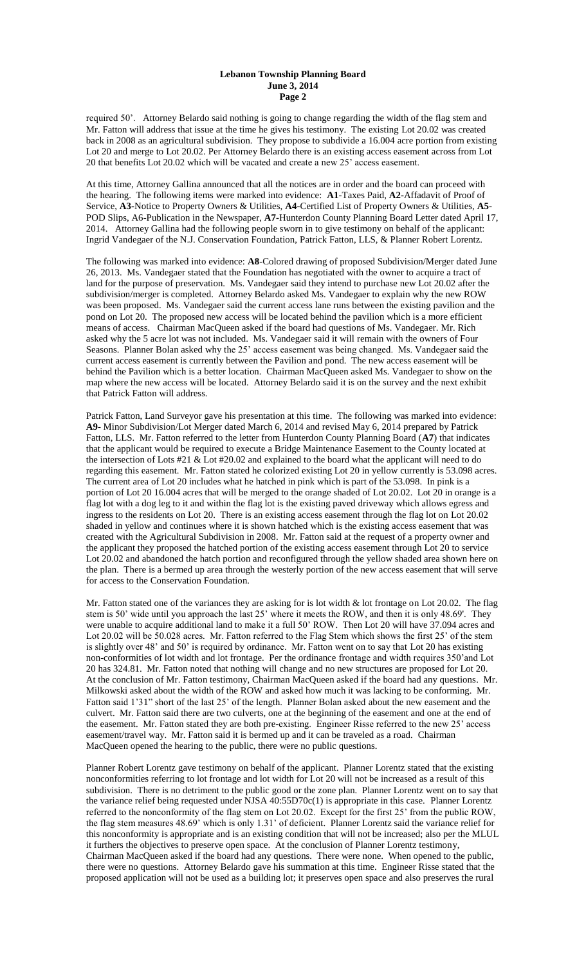required 50'. Attorney Belardo said nothing is going to change regarding the width of the flag stem and Mr. Fatton will address that issue at the time he gives his testimony. The existing Lot 20.02 was created back in 2008 as an agricultural subdivision. They propose to subdivide a 16.004 acre portion from existing Lot 20 and merge to Lot 20.02. Per Attorney Belardo there is an existing access easement across from Lot 20 that benefits Lot 20.02 which will be vacated and create a new 25' access easement.

At this time, Attorney Gallina announced that all the notices are in order and the board can proceed with the hearing. The following items were marked into evidence: **A1**-Taxes Paid, **A2-**Affadavit of Proof of Service, **A3-**Notice to Property Owners & Utilities, **A4**-Certified List of Property Owners & Utilities, **A5**- POD Slips, A6-Publication in the Newspaper, **A7-**Hunterdon County Planning Board Letter dated April 17, 2014. Attorney Gallina had the following people sworn in to give testimony on behalf of the applicant: Ingrid Vandegaer of the N.J. Conservation Foundation, Patrick Fatton, LLS, & Planner Robert Lorentz.

The following was marked into evidence: **A8**-Colored drawing of proposed Subdivision/Merger dated June 26, 2013. Ms. Vandegaer stated that the Foundation has negotiated with the owner to acquire a tract of land for the purpose of preservation. Ms. Vandegaer said they intend to purchase new Lot 20.02 after the subdivision/merger is completed. Attorney Belardo asked Ms. Vandegaer to explain why the new ROW was been proposed. Ms. Vandegaer said the current access lane runs between the existing pavilion and the pond on Lot 20. The proposed new access will be located behind the pavilion which is a more efficient means of access. Chairman MacQueen asked if the board had questions of Ms. Vandegaer. Mr. Rich asked why the 5 acre lot was not included. Ms. Vandegaer said it will remain with the owners of Four Seasons. Planner Bolan asked why the 25' access easement was being changed. Ms. Vandegaer said the current access easement is currently between the Pavilion and pond. The new access easement will be behind the Pavilion which is a better location. Chairman MacQueen asked Ms. Vandegaer to show on the map where the new access will be located. Attorney Belardo said it is on the survey and the next exhibit that Patrick Fatton will address.

Patrick Fatton, Land Surveyor gave his presentation at this time. The following was marked into evidence: **A9**- Minor Subdivision/Lot Merger dated March 6, 2014 and revised May 6, 2014 prepared by Patrick Fatton, LLS. Mr. Fatton referred to the letter from Hunterdon County Planning Board (**A7**) that indicates that the applicant would be required to execute a Bridge Maintenance Easement to the County located at the intersection of Lots #21 & Lot #20.02 and explained to the board what the applicant will need to do regarding this easement. Mr. Fatton stated he colorized existing Lot 20 in yellow currently is 53.098 acres. The current area of Lot 20 includes what he hatched in pink which is part of the 53.098. In pink is a portion of Lot 20 16.004 acres that will be merged to the orange shaded of Lot 20.02. Lot 20 in orange is a flag lot with a dog leg to it and within the flag lot is the existing paved driveway which allows egress and ingress to the residents on Lot 20. There is an existing access easement through the flag lot on Lot 20.02 shaded in yellow and continues where it is shown hatched which is the existing access easement that was created with the Agricultural Subdivision in 2008. Mr. Fatton said at the request of a property owner and the applicant they proposed the hatched portion of the existing access easement through Lot 20 to service Lot 20.02 and abandoned the hatch portion and reconfigured through the yellow shaded area shown here on the plan. There is a bermed up area through the westerly portion of the new access easement that will serve for access to the Conservation Foundation.

Mr. Fatton stated one of the variances they are asking for is lot width & lot frontage on Lot 20.02. The flag stem is 50' wide until you approach the last 25' where it meets the ROW, and then it is only 48.69'. They were unable to acquire additional land to make it a full 50' ROW. Then Lot 20 will have 37.094 acres and Lot 20.02 will be 50.028 acres. Mr. Fatton referred to the Flag Stem which shows the first 25' of the stem is slightly over 48' and 50' is required by ordinance. Mr. Fatton went on to say that Lot 20 has existing non-conformities of lot width and lot frontage. Per the ordinance frontage and width requires 350'and Lot 20 has 324.81. Mr. Fatton noted that nothing will change and no new structures are proposed for Lot 20. At the conclusion of Mr. Fatton testimony, Chairman MacQueen asked if the board had any questions. Mr. Milkowski asked about the width of the ROW and asked how much it was lacking to be conforming. Mr. Fatton said 1'31" short of the last 25' of the length. Planner Bolan asked about the new easement and the culvert. Mr. Fatton said there are two culverts, one at the beginning of the easement and one at the end of the easement. Mr. Fatton stated they are both pre-existing. Engineer Risse referred to the new 25' access easement/travel way. Mr. Fatton said it is bermed up and it can be traveled as a road. Chairman MacQueen opened the hearing to the public, there were no public questions.

Planner Robert Lorentz gave testimony on behalf of the applicant. Planner Lorentz stated that the existing nonconformities referring to lot frontage and lot width for Lot 20 will not be increased as a result of this subdivision. There is no detriment to the public good or the zone plan. Planner Lorentz went on to say that the variance relief being requested under NJSA 40:55D70c(1) is appropriate in this case. Planner Lorentz referred to the nonconformity of the flag stem on Lot 20.02. Except for the first 25' from the public ROW, the flag stem measures 48.69' which is only 1.31' of deficient. Planner Lorentz said the variance relief for this nonconformity is appropriate and is an existing condition that will not be increased; also per the MLUL it furthers the objectives to preserve open space. At the conclusion of Planner Lorentz testimony, Chairman MacQueen asked if the board had any questions. There were none. When opened to the public, there were no questions. Attorney Belardo gave his summation at this time. Engineer Risse stated that the proposed application will not be used as a building lot; it preserves open space and also preserves the rural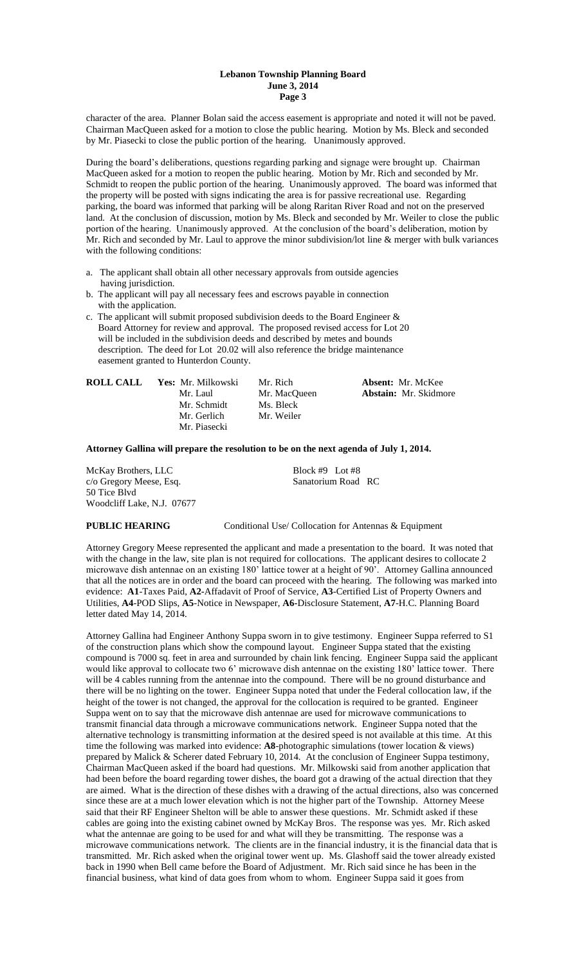character of the area. Planner Bolan said the access easement is appropriate and noted it will not be paved. Chairman MacQueen asked for a motion to close the public hearing. Motion by Ms. Bleck and seconded by Mr. Piasecki to close the public portion of the hearing. Unanimously approved.

During the board's deliberations, questions regarding parking and signage were brought up. Chairman MacQueen asked for a motion to reopen the public hearing. Motion by Mr. Rich and seconded by Mr. Schmidt to reopen the public portion of the hearing. Unanimously approved. The board was informed that the property will be posted with signs indicating the area is for passive recreational use. Regarding parking, the board was informed that parking will be along Raritan River Road and not on the preserved land. At the conclusion of discussion, motion by Ms. Bleck and seconded by Mr. Weiler to close the public portion of the hearing. Unanimously approved. At the conclusion of the board's deliberation, motion by Mr. Rich and seconded by Mr. Laul to approve the minor subdivision/lot line & merger with bulk variances with the following conditions:

- a. The applicant shall obtain all other necessary approvals from outside agencies having jurisdiction.
- b. The applicant will pay all necessary fees and escrows payable in connection with the application.
- c. The applicant will submit proposed subdivision deeds to the Board Engineer & Board Attorney for review and approval. The proposed revised access for Lot 20 will be included in the subdivision deeds and described by metes and bounds description. The deed for Lot 20.02 will also reference the bridge maintenance easement granted to Hunterdon County.

| <b>ROLL CALL</b> | <b>Yes:</b> Mr. Milkowski | Mr. Rich     | <b>Absent:</b> Mr. McKee     |
|------------------|---------------------------|--------------|------------------------------|
|                  | Mr. Laul                  | Mr. MacOueen | <b>Abstain:</b> Mr. Skidmore |
|                  | Mr. Schmidt               | Ms. Bleck    |                              |
|                  | Mr. Gerlich               | Mr. Weiler   |                              |
|                  | Mr. Piasecki              |              |                              |

**Attorney Gallina will prepare the resolution to be on the next agenda of July 1, 2014.**

McKay Brothers, LLC Block #9 Lot #8 c/o Gregory Meese, Esq. Sanatorium Road RC 50 Tice Blvd Woodcliff Lake, N.J. 07677

**PUBLIC HEARING** Conditional Use/ Collocation for Antennas & Equipment

Attorney Gregory Meese represented the applicant and made a presentation to the board. It was noted that with the change in the law, site plan is not required for collocations. The applicant desires to collocate 2 microwave dish antennae on an existing 180' lattice tower at a height of 90'. Attorney Gallina announced that all the notices are in order and the board can proceed with the hearing. The following was marked into evidence: **A1**-Taxes Paid, **A2-**Affadavit of Proof of Service, **A3**-Certified List of Property Owners and Utilities, **A4**-POD Slips, **A5**-Notice in Newspaper, **A6-**Disclosure Statement, **A7**-H.C. Planning Board letter dated May 14, 2014.

Attorney Gallina had Engineer Anthony Suppa sworn in to give testimony. Engineer Suppa referred to S1 of the construction plans which show the compound layout. Engineer Suppa stated that the existing compound is 7000 sq. feet in area and surrounded by chain link fencing. Engineer Suppa said the applicant would like approval to collocate two 6' microwave dish antennae on the existing 180' lattice tower. There will be 4 cables running from the antennae into the compound. There will be no ground disturbance and there will be no lighting on the tower. Engineer Suppa noted that under the Federal collocation law, if the height of the tower is not changed, the approval for the collocation is required to be granted. Engineer Suppa went on to say that the microwave dish antennae are used for microwave communications to transmit financial data through a microwave communications network. Engineer Suppa noted that the alternative technology is transmitting information at the desired speed is not available at this time. At this time the following was marked into evidence: **A8**-photographic simulations (tower location & views) prepared by Malick & Scherer dated February 10, 2014. At the conclusion of Engineer Suppa testimony, Chairman MacQueen asked if the board had questions. Mr. Milkowski said from another application that had been before the board regarding tower dishes, the board got a drawing of the actual direction that they are aimed. What is the direction of these dishes with a drawing of the actual directions, also was concerned since these are at a much lower elevation which is not the higher part of the Township. Attorney Meese said that their RF Engineer Shelton will be able to answer these questions. Mr. Schmidt asked if these cables are going into the existing cabinet owned by McKay Bros. The response was yes. Mr. Rich asked what the antennae are going to be used for and what will they be transmitting. The response was a microwave communications network. The clients are in the financial industry, it is the financial data that is transmitted. Mr. Rich asked when the original tower went up. Ms. Glashoff said the tower already existed back in 1990 when Bell came before the Board of Adjustment. Mr. Rich said since he has been in the financial business, what kind of data goes from whom to whom. Engineer Suppa said it goes from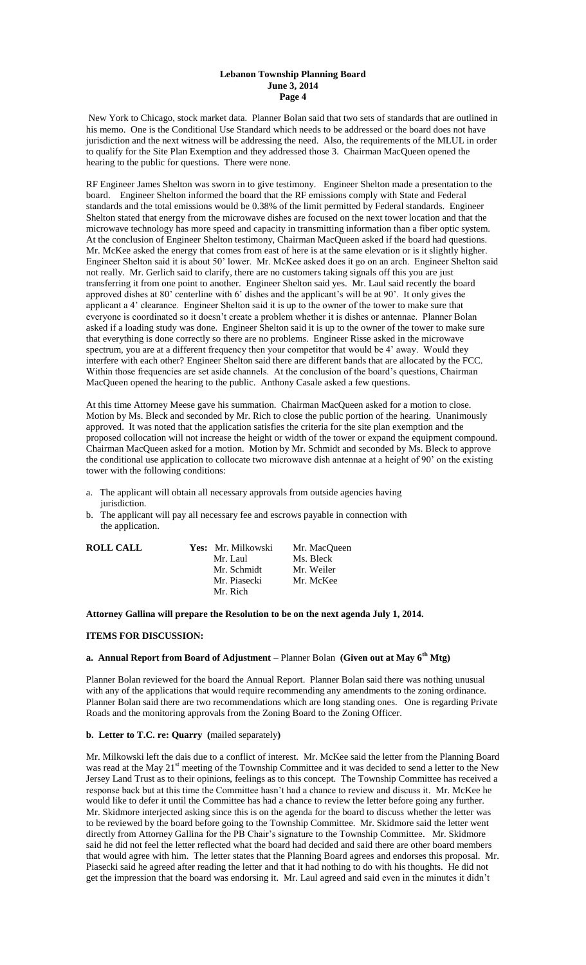New York to Chicago, stock market data. Planner Bolan said that two sets of standards that are outlined in his memo. One is the Conditional Use Standard which needs to be addressed or the board does not have jurisdiction and the next witness will be addressing the need. Also, the requirements of the MLUL in order to qualify for the Site Plan Exemption and they addressed those 3. Chairman MacQueen opened the hearing to the public for questions. There were none.

RF Engineer James Shelton was sworn in to give testimony. Engineer Shelton made a presentation to the board. Engineer Shelton informed the board that the RF emissions comply with State and Federal standards and the total emissions would be 0.38% of the limit permitted by Federal standards. Engineer Shelton stated that energy from the microwave dishes are focused on the next tower location and that the microwave technology has more speed and capacity in transmitting information than a fiber optic system. At the conclusion of Engineer Shelton testimony, Chairman MacQueen asked if the board had questions. Mr. McKee asked the energy that comes from east of here is at the same elevation or is it slightly higher. Engineer Shelton said it is about 50' lower. Mr. McKee asked does it go on an arch. Engineer Shelton said not really. Mr. Gerlich said to clarify, there are no customers taking signals off this you are just transferring it from one point to another. Engineer Shelton said yes. Mr. Laul said recently the board approved dishes at 80' centerline with 6' dishes and the applicant's will be at 90'. It only gives the applicant a 4' clearance. Engineer Shelton said it is up to the owner of the tower to make sure that everyone is coordinated so it doesn't create a problem whether it is dishes or antennae. Planner Bolan asked if a loading study was done. Engineer Shelton said it is up to the owner of the tower to make sure that everything is done correctly so there are no problems. Engineer Risse asked in the microwave spectrum, you are at a different frequency then your competitor that would be 4' away. Would they interfere with each other? Engineer Shelton said there are different bands that are allocated by the FCC. Within those frequencies are set aside channels. At the conclusion of the board's questions, Chairman MacQueen opened the hearing to the public. Anthony Casale asked a few questions.

At this time Attorney Meese gave his summation. Chairman MacQueen asked for a motion to close. Motion by Ms. Bleck and seconded by Mr. Rich to close the public portion of the hearing. Unanimously approved. It was noted that the application satisfies the criteria for the site plan exemption and the proposed collocation will not increase the height or width of the tower or expand the equipment compound. Chairman MacQueen asked for a motion. Motion by Mr. Schmidt and seconded by Ms. Bleck to approve the conditional use application to collocate two microwave dish antennae at a height of 90' on the existing tower with the following conditions:

- a. The applicant will obtain all necessary approvals from outside agencies having jurisdiction.
- b. The applicant will pay all necessary fee and escrows payable in connection with the application.

| <b>ROLL CALL</b> | Yes: Mr. Milkowski | Mr. MacQueen |
|------------------|--------------------|--------------|
|                  | Mr. Laul           | Ms. Bleck    |
|                  | Mr. Schmidt        | Mr. Weiler   |
|                  | Mr. Piasecki       | Mr. McKee    |
|                  | Mr. Rich           |              |

# **Attorney Gallina will prepare the Resolution to be on the next agenda July 1, 2014.**

# **ITEMS FOR DISCUSSION:**

# **a. Annual Report from Board of Adjustment** – Planner Bolan **(Given out at May 6th Mtg)**

Planner Bolan reviewed for the board the Annual Report. Planner Bolan said there was nothing unusual with any of the applications that would require recommending any amendments to the zoning ordinance. Planner Bolan said there are two recommendations which are long standing ones. One is regarding Private Roads and the monitoring approvals from the Zoning Board to the Zoning Officer.

## **b. Letter to T.C. re: Quarry (**mailed separately**)**

Mr. Milkowski left the dais due to a conflict of interest. Mr. McKee said the letter from the Planning Board was read at the May 21<sup>st</sup> meeting of the Township Committee and it was decided to send a letter to the New Jersey Land Trust as to their opinions, feelings as to this concept. The Township Committee has received a response back but at this time the Committee hasn't had a chance to review and discuss it. Mr. McKee he would like to defer it until the Committee has had a chance to review the letter before going any further. Mr. Skidmore interjected asking since this is on the agenda for the board to discuss whether the letter was to be reviewed by the board before going to the Township Committee. Mr. Skidmore said the letter went directly from Attorney Gallina for the PB Chair's signature to the Township Committee. Mr. Skidmore said he did not feel the letter reflected what the board had decided and said there are other board members that would agree with him. The letter states that the Planning Board agrees and endorses this proposal. Mr. Piasecki said he agreed after reading the letter and that it had nothing to do with his thoughts. He did not get the impression that the board was endorsing it. Mr. Laul agreed and said even in the minutes it didn't